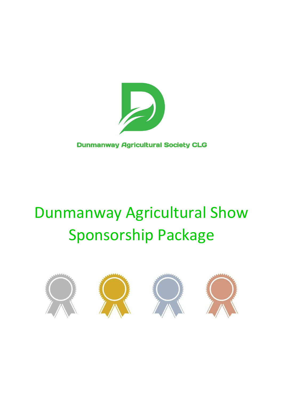

#### **Dunmanway Agricultural Society CLG**

# Dunmanway Agricultural Show Sponsorship Package

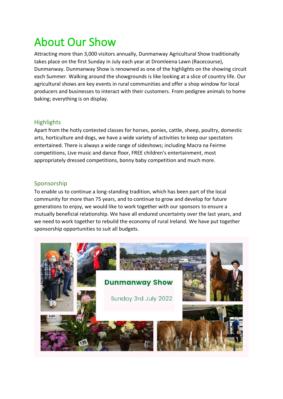### About Our Show

Attracting more than 3,000 visitors annually, Dunmanway Agricultural Show traditionally takes place on the first Sunday in July each year at Dromleena Lawn (Racecourse), Dunmanway. Dunmanway Show is renowned as one of the highlights on the showing circuit each Summer. Walking around the showgrounds is like looking at a slice of country life. Our agricultural shows are key events in rural communities and offer a shop window for local producers and businesses to interact with their customers. From pedigree animals to home baking; everything is on display.

#### **Highlights**

Apart from the hotly contested classes for horses, ponies, cattle, sheep, poultry, domestic arts, horticulture and dogs, we have a wide variety of activities to keep our spectators entertained. There is always a wide range of sideshows; including Macra na Feirme competitions, Live music and dance floor, FREE children's entertainment, most appropriately dressed competitions, bonny baby competition and much more.

#### Sponsorship

To enable us to continue a long-standing tradition, which has been part of the local community for more than 75 years, and to continue to grow and develop for future generations to enjoy, we would like to work together with our sponsors to ensure a mutually beneficial relationship. We have all endured uncertainty over the last years, and we need to work together to rebuild the economy of rural Ireland. We have put together sponsorship opportunities to suit all budgets.

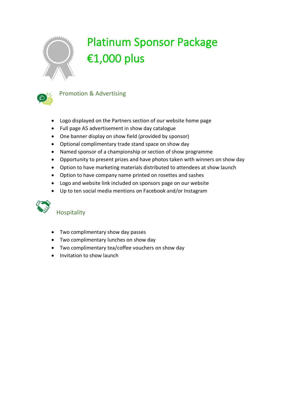

## Platinum Sponsor Package €1,000 plus



Promotion & Advertising

- Logo displayed on the Partners section of our website home page
- Full page A5 advertisement in show day catalogue
- One banner display on show field (provided by sponsor)
- Optional complimentary trade stand space on show day
- Named sponsor of a championship or section of show programme
- Opportunity to present prizes and have photos taken with winners on show day
- Option to have marketing materials distributed to attendees at show launch
- Option to have company name printed on rosettes and sashes
- Logo and website link included on sponsors page on our website
- Up to ten social media mentions on Facebook and/or Instagram



- Two complimentary show day passes
- Two complimentary lunches on show day
- Two complimentary tea/coffee vouchers on show day
- Invitation to show launch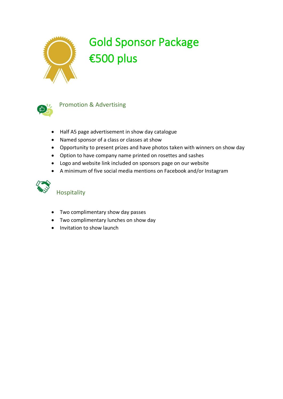

### Gold Sponsor Package €500 plus



#### Promotion & Advertising

- Half A5 page advertisement in show day catalogue
- Named sponsor of a class or classes at show
- Opportunity to present prizes and have photos taken with winners on show day
- Option to have company name printed on rosettes and sashes
- Logo and website link included on sponsors page on our website
- A minimum of five social media mentions on Facebook and/or Instagram



- Two complimentary show day passes
- Two complimentary lunches on show day
- Invitation to show launch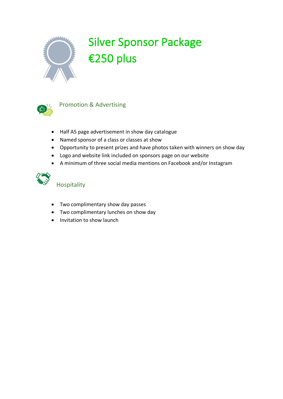

## Silver Sponsor Package €250 plus



#### Promotion & Advertising

- Half A5 page advertisement in show day catalogue
- Named sponsor of a class or classes at show
- Opportunity to present prizes and have photos taken with winners on show day
- Logo and website link included on sponsors page on our website
- A minimum of three social media mentions on Facebook and/or Instagram



- Two complimentary show day passes
- Two complimentary lunches on show day
- Invitation to show launch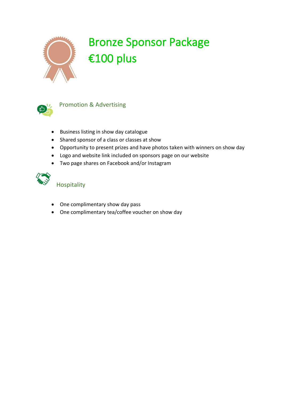

## Bronze Sponsor Package €100 plus



#### Promotion & Advertising

- Business listing in show day catalogue
- Shared sponsor of a class or classes at show
- Opportunity to present prizes and have photos taken with winners on show day
- Logo and website link included on sponsors page on our website
- Two page shares on Facebook and/or Instagram



- One complimentary show day pass
- One complimentary tea/coffee voucher on show day